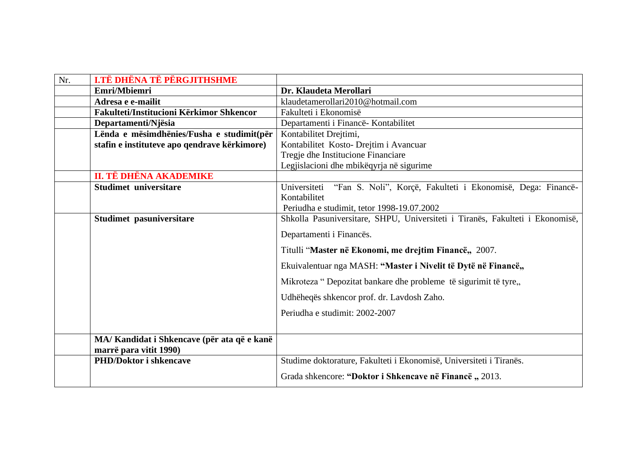| Nr. | <b>I.TË DHËNA TË PËRGJITHSHME</b>            |                                                                               |
|-----|----------------------------------------------|-------------------------------------------------------------------------------|
|     | Emri/Mbiemri                                 | Dr. Klaudeta Merollari                                                        |
|     | Adresa e e-mailit                            | klaudetamerollari2010@hotmail.com                                             |
|     | Fakulteti/Institucioni Kërkimor Shkencor     | Fakulteti i Ekonomisë                                                         |
|     | Departamenti/Njësia                          | Departamenti i Financë- Kontabilitet                                          |
|     | Lënda e mësimdhënies/Fusha e studimit(për    | Kontabilitet Drejtimi,                                                        |
|     | stafin e instituteve apo qendrave kërkimore) | Kontabilitet Kosto- Drejtim i Avancuar                                        |
|     |                                              | Tregje dhe Institucione Financiare                                            |
|     |                                              | Legjislacioni dhe mbikëqyrja në sigurime                                      |
|     | II. TË DHËNA AKADEMIKE                       |                                                                               |
|     | <b>Studimet universitare</b>                 | "Fan S. Noli", Korçë, Fakulteti i Ekonomisë, Dega: Financë-<br>Universiteti   |
|     |                                              | Kontabilitet                                                                  |
|     |                                              | Periudha e studimit, tetor 1998-19.07.2002                                    |
|     | Studimet pasuniversitare                     | Shkolla Pasuniversitare, SHPU, Universiteti i Tiranës, Fakulteti i Ekonomisë, |
|     |                                              | Departamenti i Financës.                                                      |
|     |                                              | Titulli "Master në Ekonomi, me drejtim Financë,, 2007.                        |
|     |                                              | Ekuivalentuar nga MASH: "Master i Nivelit të Dytë në Financë,,                |
|     |                                              | Mikroteza "Depozitat bankare dhe probleme të sigurimit të tyre,               |
|     |                                              | Udhëheqës shkencor prof. dr. Lavdosh Zaho.                                    |
|     |                                              | Periudha e studimit: 2002-2007                                                |
|     |                                              |                                                                               |
|     | MA/Kandidat i Shkencave (për ata që e kanë   |                                                                               |
|     | marrë para vitit 1990)                       |                                                                               |
|     | <b>PHD/Doktor i shkencave</b>                | Studime doktorature, Fakulteti i Ekonomisë, Universiteti i Tiranës.           |
|     |                                              | Grada shkencore: "Doktor i Shkencave në Financë, 2013.                        |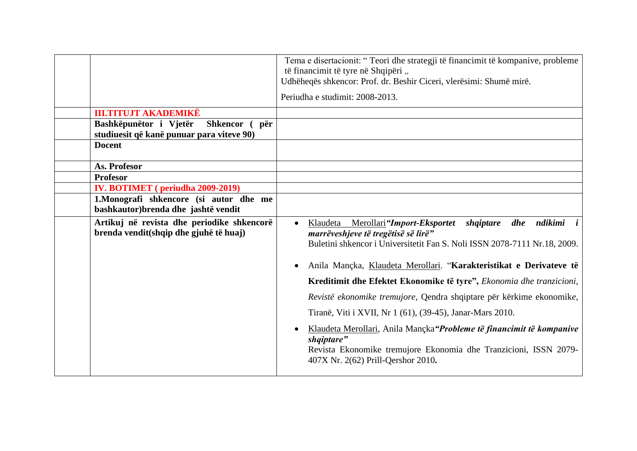|                                                                                                                                                               | Tema e disertacionit: "Teori dhe strategji të financimit të kompanive, probleme<br>të financimit të tyre në Shqipëri "<br>Udhëheqës shkencor: Prof. dr. Beshir Ciceri, vlerësimi: Shumë mirë.                                                                                                                                                                                                                                                                                   |
|---------------------------------------------------------------------------------------------------------------------------------------------------------------|---------------------------------------------------------------------------------------------------------------------------------------------------------------------------------------------------------------------------------------------------------------------------------------------------------------------------------------------------------------------------------------------------------------------------------------------------------------------------------|
|                                                                                                                                                               | Periudha e studimit: 2008-2013.                                                                                                                                                                                                                                                                                                                                                                                                                                                 |
| <b>III.TITUJT AKADEMIKË</b><br>Bashkëpunëtor i Vjetër<br>Shkencor (<br>për<br>studiuesit që kanë punuar para viteve 90)<br><b>Docent</b>                      |                                                                                                                                                                                                                                                                                                                                                                                                                                                                                 |
| As. Profesor<br><b>Profesor</b><br><b>IV. BOTIMET</b> (periudha 2009-2019)<br>1. Monografi shkencore (si autor dhe me<br>bashkautor) brenda dhe jashtë vendit |                                                                                                                                                                                                                                                                                                                                                                                                                                                                                 |
| Artikuj në revista dhe periodike shkencorë<br>brenda vendit(shqip dhe gjuhë të huaj)                                                                          | Merollari "Import-Eksportet<br>shqiptare dhe ndikimi<br>Klaudeta<br>$\bullet$<br>marrëveshjeve të tregëtisë së lirë"<br>Buletini shkencor i Universitetit Fan S. Noli ISSN 2078-7111 Nr.18, 2009.                                                                                                                                                                                                                                                                               |
|                                                                                                                                                               | Anila Mançka, Klaudeta Merollari. "Karakteristikat e Derivateve të<br>Kreditimit dhe Efektet Ekonomike të tyre", Ekonomia dhe tranzicioni,<br>Revistë ekonomike tremujore, Qendra shqiptare për kërkime ekonomike,<br>Tiranë, Viti i XVII, Nr 1 (61), (39-45), Janar-Mars 2010.<br>Klaudeta Merollari, Anila Mançka"Probleme të financimit të kompanive<br>shqiptare"<br>Revista Ekonomike tremujore Ekonomia dhe Tranzicioni, ISSN 2079-<br>407X Nr. 2(62) Prill-Qershor 2010. |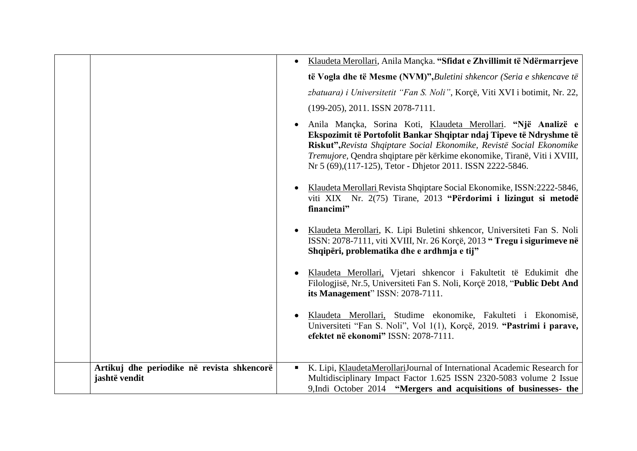|                                                             | Klaudeta Merollari, Anila Mançka. "Sfidat e Zhvillimit të Ndërmarrjeve                                                                                                                                                                                                                                                                                   |
|-------------------------------------------------------------|----------------------------------------------------------------------------------------------------------------------------------------------------------------------------------------------------------------------------------------------------------------------------------------------------------------------------------------------------------|
|                                                             | të Vogla dhe të Mesme (NVM)", Buletini shkencor (Seria e shkencave të                                                                                                                                                                                                                                                                                    |
|                                                             | zbatuara) i Universitetit "Fan S. Noli", Korçë, Viti XVI i botimit, Nr. 22,                                                                                                                                                                                                                                                                              |
|                                                             | (199-205), 2011. ISSN 2078-7111.                                                                                                                                                                                                                                                                                                                         |
|                                                             | Anila Mançka, Sorina Koti, Klaudeta Merollari. "Një Analizë e<br>Ekspozimit të Portofolit Bankar Shqiptar ndaj Tipeve të Ndryshme të<br>Riskut", Revista Shqiptare Social Ekonomike, Revistë Social Ekonomike<br>Tremujore, Qendra shqiptare për kërkime ekonomike, Tiranë, Viti i XVIII,<br>Nr 5 (69), (117-125), Tetor - Dhjetor 2011. ISSN 2222-5846. |
|                                                             | Klaudeta Merollari Revista Shqiptare Social Ekonomike, ISSN:2222-5846,<br>viti XIX Nr. 2(75) Tirane, 2013 "Përdorimi i lizingut si metodë<br>financimi"                                                                                                                                                                                                  |
|                                                             | Klaudeta Merollari, K. Lipi Buletini shkencor, Universiteti Fan S. Noli<br>ISSN: 2078-7111, viti XVIII, Nr. 26 Korçë, 2013 "Tregu i sigurimeve në<br>Shqipëri, problematika dhe e ardhmja e tij"                                                                                                                                                         |
|                                                             | Klaudeta Merollari, Vjetari shkencor i Fakultetit të Edukimit dhe<br>Filologjisë, Nr.5, Universiteti Fan S. Noli, Korçë 2018, "Public Debt And<br>its Management" ISSN: 2078-7111.                                                                                                                                                                       |
|                                                             | Klaudeta Merollari, Studime ekonomike, Fakulteti i Ekonomisë,<br>Universiteti "Fan S. Noli", Vol 1(1), Korçë, 2019. "Pastrimi i parave,<br>efektet në ekonomi" ISSN: 2078-7111.                                                                                                                                                                          |
| Artikuj dhe periodike në revista shkencorë<br>jashtë vendit | K. Lipi, KlaudetaMerollariJournal of International Academic Research for<br>Multidisciplinary Impact Factor 1.625 ISSN 2320-5083 volume 2 Issue<br>9, Indi October 2014 "Mergers and acquisitions of businesses- the                                                                                                                                     |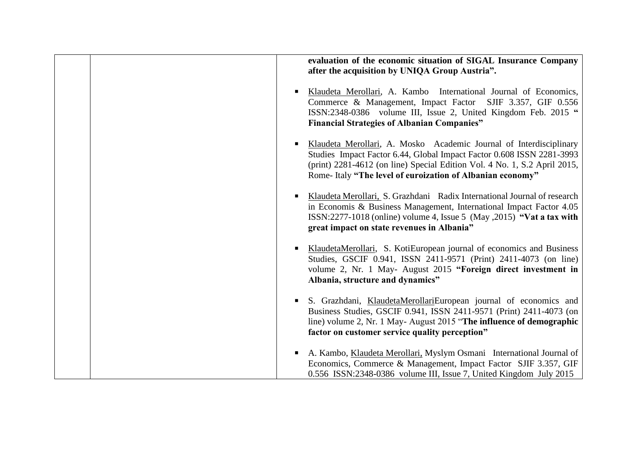| evaluation of the economic situation of SIGAL Insurance Company<br>after the acquisition by UNIQA Group Austria".                                                                                                                                                                     |
|---------------------------------------------------------------------------------------------------------------------------------------------------------------------------------------------------------------------------------------------------------------------------------------|
| Klaudeta Merollari, A. Kambo International Journal of Economics,<br>Commerce & Management, Impact Factor SJIF 3.357, GIF 0.556<br>ISSN:2348-0386 volume III, Issue 2, United Kingdom Feb. 2015 "<br><b>Financial Strategies of Albanian Companies"</b>                                |
| Klaudeta Merollari, A. Mosko Academic Journal of Interdisciplinary<br>Studies Impact Factor 6.44, Global Impact Factor 0.608 ISSN 2281-3993<br>(print) 2281-4612 (on line) Special Edition Vol. 4 No. 1, S.2 April 2015,<br>Rome-Italy "The level of euroization of Albanian economy" |
| Klaudeta Merollari, S. Grazhdani Radix International Journal of research<br>in Economis & Business Management, International Impact Factor 4.05<br>ISSN:2277-1018 (online) volume 4, Issue 5 (May , 2015) "Vat a tax with<br>great impact on state revenues in Albania"               |
| KlaudetaMerollari, S. KotiEuropean journal of economics and Business<br>Studies, GSCIF 0.941, ISSN 2411-9571 (Print) 2411-4073 (on line)<br>volume 2, Nr. 1 May- August 2015 "Foreign direct investment in<br>Albania, structure and dynamics"                                        |
| S. Grazhdani, KlaudetaMerollariEuropean journal of economics and<br>Business Studies, GSCIF 0.941, ISSN 2411-9571 (Print) 2411-4073 (on<br>line) volume 2, Nr. 1 May-August 2015 "The influence of demographic<br>factor on customer service quality perception"                      |
| A. Kambo, Klaudeta Merollari, Myslym Osmani International Journal of<br>Economics, Commerce & Management, Impact Factor SJIF 3.357, GIF<br>0.556 ISSN:2348-0386 volume III, Issue 7, United Kingdom July 2015                                                                         |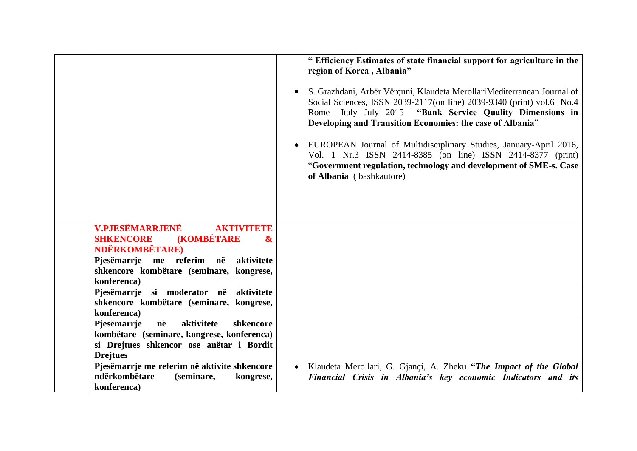|                                                                                                                                                           | " Efficiency Estimates of state financial support for agriculture in the<br>region of Korca, Albania"<br>S. Grazhdani, Arbër Vërçuni, Klaudeta MerollariMediterranean Journal of<br>Social Sciences, ISSN 2039-2117(on line) 2039-9340 (print) vol.6 No.4<br>Rome -Italy July 2015 "Bank Service Quality Dimensions in<br>Developing and Transition Economies: the case of Albania"<br>EUROPEAN Journal of Multidisciplinary Studies, January-April 2016,<br>Vol. 1 Nr.3 ISSN 2414-8385 (on line) ISSN 2414-8377 (print)<br>"Government regulation, technology and development of SME-s. Case<br>of Albania (bashkautore) |
|-----------------------------------------------------------------------------------------------------------------------------------------------------------|---------------------------------------------------------------------------------------------------------------------------------------------------------------------------------------------------------------------------------------------------------------------------------------------------------------------------------------------------------------------------------------------------------------------------------------------------------------------------------------------------------------------------------------------------------------------------------------------------------------------------|
| <b>V.PJESËMARRJENË</b><br><b>AKTIVITETE</b><br><b>(KOMBËTARE</b><br><b>SHKENCORE</b><br>$\boldsymbol{\alpha}$<br><b>NDËRKOMBËTARE</b> )                   |                                                                                                                                                                                                                                                                                                                                                                                                                                                                                                                                                                                                                           |
| Pjesëmarrje me referim në<br>aktivitete<br>shkencore kombëtare (seminare, kongrese,<br>konferenca)                                                        |                                                                                                                                                                                                                                                                                                                                                                                                                                                                                                                                                                                                                           |
| Pjesëmarrje si moderator në aktivitete<br>shkencore kombëtare (seminare, kongrese,<br>konferenca)                                                         |                                                                                                                                                                                                                                                                                                                                                                                                                                                                                                                                                                                                                           |
| Pjesëmarrje<br>në<br>aktivitete<br>shkencore<br>kombëtare (seminare, kongrese, konferenca)<br>si Drejtues shkencor ose anëtar i Bordit<br><b>Drejtues</b> |                                                                                                                                                                                                                                                                                                                                                                                                                                                                                                                                                                                                                           |
| Pjesëmarrje me referim në aktivite shkencore<br>ndërkombëtare<br>(seminare,<br>kongrese,<br>konferenca)                                                   | Klaudeta Merollari, G. Gjançi, A. Zheku "The Impact of the Global"<br>$\bullet$<br>Financial Crisis in Albania's key economic Indicators and its                                                                                                                                                                                                                                                                                                                                                                                                                                                                          |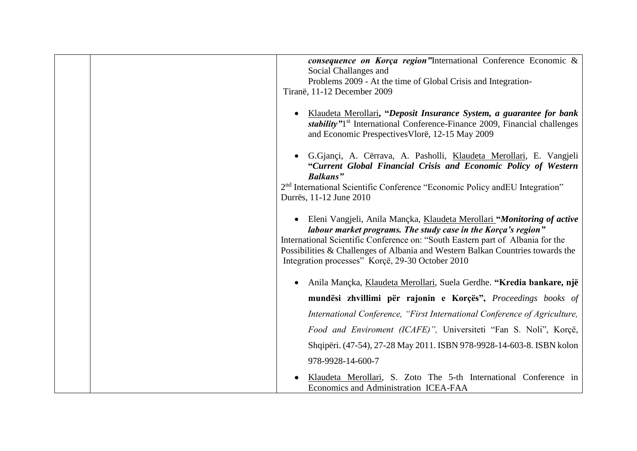|  | consequence on Korça region"International Conference Economic &<br>Social Challanges and                                                                                                                                                                                                                                                                        |
|--|-----------------------------------------------------------------------------------------------------------------------------------------------------------------------------------------------------------------------------------------------------------------------------------------------------------------------------------------------------------------|
|  | Problems 2009 - At the time of Global Crisis and Integration-                                                                                                                                                                                                                                                                                                   |
|  | Tiranë, 11-12 December 2009                                                                                                                                                                                                                                                                                                                                     |
|  | Klaudeta Merollari, "Deposit Insurance System, a guarantee for bank<br>stability" <sup>1st</sup> International Conference-Finance 2009, Financial challenges<br>and Economic Prespectives Vlorë, 12-15 May 2009                                                                                                                                                 |
|  | G.Gjançi, A. Cërrava, A. Pasholli, Klaudeta Merollari, E. Vangjeli<br>"Current Global Financial Crisis and Economic Policy of Western<br><b>Balkans</b> "                                                                                                                                                                                                       |
|  | 2 <sup>nd</sup> International Scientific Conference "Economic Policy and EU Integration"<br>Durrës, 11-12 June 2010                                                                                                                                                                                                                                             |
|  | Eleni Vangjeli, Anila Mançka, Klaudeta Merollari "Monitoring of active<br>labour market programs. The study case in the Korça's region"<br>International Scientific Conference on: "South Eastern part of Albania for the<br>Possibilities & Challenges of Albania and Western Balkan Countries towards the<br>Integration processes" Korçë, 29-30 October 2010 |
|  | Anila Mançka, Klaudeta Merollari, Suela Gerdhe. "Kredia bankare, një                                                                                                                                                                                                                                                                                            |
|  | mundësi zhvillimi për rajonin e Korçës", Proceedings books of                                                                                                                                                                                                                                                                                                   |
|  | International Conference, "First International Conference of Agriculture,                                                                                                                                                                                                                                                                                       |
|  | Food and Enviroment (ICAFE)", Universiteti "Fan S. Noli", Korçë,                                                                                                                                                                                                                                                                                                |
|  | Shqipëri. (47-54), 27-28 May 2011. ISBN 978-9928-14-603-8. ISBN kolon                                                                                                                                                                                                                                                                                           |
|  | 978-9928-14-600-7                                                                                                                                                                                                                                                                                                                                               |
|  | Klaudeta Merollari, S. Zoto The 5-th International Conference in<br>Economics and Administration ICEA-FAA                                                                                                                                                                                                                                                       |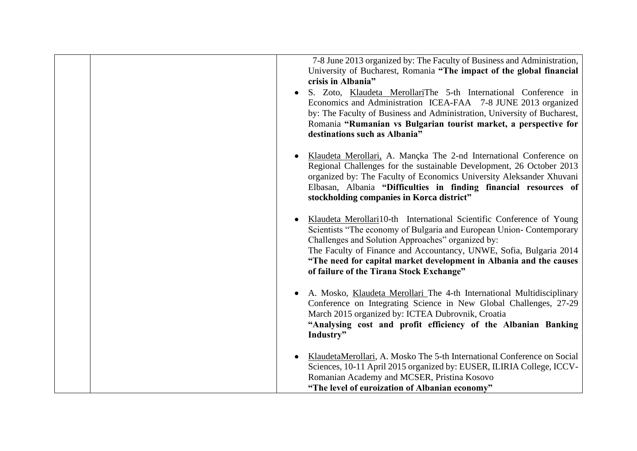| 7-8 June 2013 organized by: The Faculty of Business and Administration,<br>University of Bucharest, Romania "The impact of the global financial<br>crisis in Albania"<br>S. Zoto, Klaudeta MerollariThe 5-th International Conference in<br>Economics and Administration ICEA-FAA 7-8 JUNE 2013 organized<br>by: The Faculty of Business and Administration, University of Bucharest,<br>Romania "Rumanian vs Bulgarian tourist market, a perspective for<br>destinations such as Albania" |
|--------------------------------------------------------------------------------------------------------------------------------------------------------------------------------------------------------------------------------------------------------------------------------------------------------------------------------------------------------------------------------------------------------------------------------------------------------------------------------------------|
| Klaudeta Merollari, A. Mançka The 2-nd International Conference on<br>Regional Challenges for the sustainable Development, 26 October 2013<br>organized by: The Faculty of Economics University Aleksander Xhuvani<br>Elbasan, Albania "Difficulties in finding financial resources of<br>stockholding companies in Korca district"                                                                                                                                                        |
| Klaudeta Merollari10-th International Scientific Conference of Young<br>Scientists "The economy of Bulgaria and European Union- Contemporary<br>Challenges and Solution Approaches" organized by:<br>The Faculty of Finance and Accountancy, UNWE, Sofia, Bulgaria 2014<br>"The need for capital market development in Albania and the causes<br>of failure of the Tirana Stock Exchange"                                                                                                  |
| A. Mosko, Klaudeta Merollari The 4-th International Multidisciplinary<br>Conference on Integrating Science in New Global Challenges, 27-29<br>March 2015 organized by: ICTEA Dubrovnik, Croatia<br>"Analysing cost and profit efficiency of the Albanian Banking<br>Industry"                                                                                                                                                                                                              |
| KlaudetaMerollari, A. Mosko The 5-th International Conference on Social<br>Sciences, 10-11 April 2015 organized by: EUSER, ILIRIA College, ICCV-<br>Romanian Academy and MCSER, Pristina Kosovo<br>"The level of euroization of Albanian economy"                                                                                                                                                                                                                                          |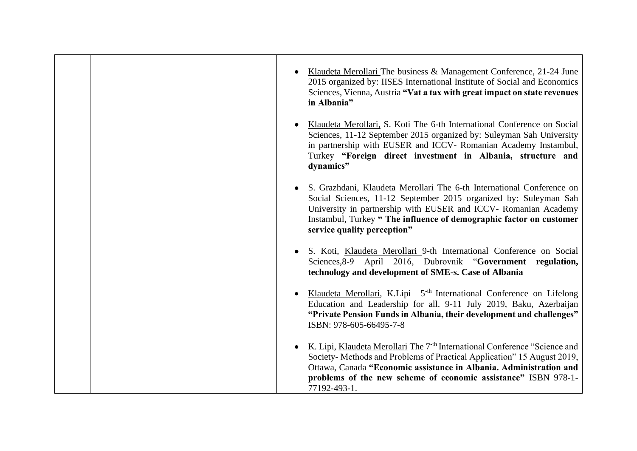|  | Klaudeta Merollari The business & Management Conference, 21-24 June<br>2015 organized by: IISES International Institute of Social and Economics<br>Sciences, Vienna, Austria "Vat a tax with great impact on state revenues<br>in Albania"                                                                              |
|--|-------------------------------------------------------------------------------------------------------------------------------------------------------------------------------------------------------------------------------------------------------------------------------------------------------------------------|
|  | Klaudeta Merollari, S. Koti The 6-th International Conference on Social<br>Sciences, 11-12 September 2015 organized by: Suleyman Sah University<br>in partnership with EUSER and ICCV- Romanian Academy Instambul,<br>Turkey "Foreign direct investment in Albania, structure and<br>dynamics"                          |
|  | S. Grazhdani, Klaudeta Merollari The 6-th International Conference on<br>Social Sciences, 11-12 September 2015 organized by: Suleyman Sah<br>University in partnership with EUSER and ICCV- Romanian Academy<br>Instambul, Turkey "The influence of demographic factor on customer<br>service quality perception"       |
|  | S. Koti, Klaudeta Merollari 9-th International Conference on Social<br>Sciences, 8-9 April 2016, Dubrovnik "Government regulation,<br>technology and development of SME-s. Case of Albania                                                                                                                              |
|  | Klaudeta Merollari, K.Lipi 5 <sup>-th</sup> International Conference on Lifelong<br>Education and Leadership for all. 9-11 July 2019, Baku, Azerbaijan<br>"Private Pension Funds in Albania, their development and challenges"<br>ISBN: 978-605-66495-7-8                                                               |
|  | K. Lipi, Klaudeta Merollari The 7 <sup>th</sup> International Conference "Science and<br>Society-Methods and Problems of Practical Application" 15 August 2019,<br>Ottawa, Canada "Economic assistance in Albania. Administration and<br>problems of the new scheme of economic assistance" ISBN 978-1-<br>77192-493-1. |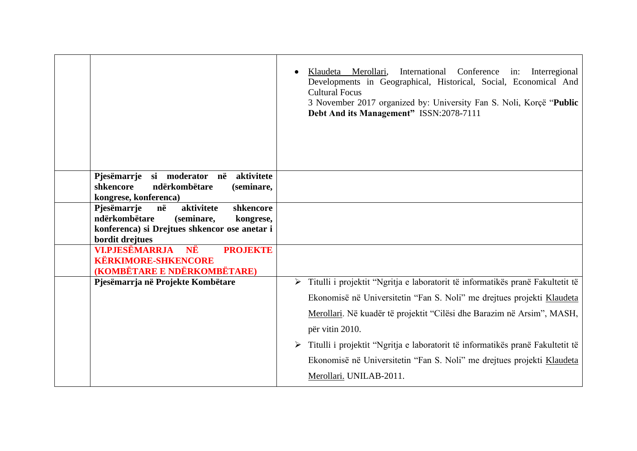|                                                                                                                                                              | International Conference<br>Klaudeta Merollari,<br>in:<br>Interregional<br>Developments in Geographical, Historical, Social, Economical And<br><b>Cultural Focus</b><br>3 November 2017 organized by: University Fan S. Noli, Korçë "Public<br>Debt And its Management" ISSN:2078-7111                                                    |
|--------------------------------------------------------------------------------------------------------------------------------------------------------------|-------------------------------------------------------------------------------------------------------------------------------------------------------------------------------------------------------------------------------------------------------------------------------------------------------------------------------------------|
| Pjesëmarrje si moderator në aktivitete<br>ndërkombëtare<br>shkencore<br>(seminare,<br>kongrese, konferenca)                                                  |                                                                                                                                                                                                                                                                                                                                           |
| Pjesëmarrje<br>në<br>aktivitete<br>shkencore<br>ndërkombëtare<br>(seminare,<br>kongrese,<br>konferenca) si Drejtues shkencor ose anetar i<br>bordit drejtues |                                                                                                                                                                                                                                                                                                                                           |
| <b>VI.PJESËMARRJA</b><br>NË<br><b>PROJEKTE</b><br><b>KËRKIMORE-SHKENCORE</b><br>(KOMBËTARE E NDËRKOMBËTARE)                                                  |                                                                                                                                                                                                                                                                                                                                           |
| Pjesëmarrja në Projekte Kombëtare                                                                                                                            | > Titulli i projektit "Ngritja e laboratorit të informatikës pranë Fakultetit të<br>Ekonomisë në Universitetin "Fan S. Noli" me drejtues projekti Klaudeta<br>Merollari. Në kuadër të projektit "Cilësi dhe Barazim në Arsim", MASH,<br>për vitin 2010.<br>Titulli i projektit "Ngritja e laboratorit të informatikës pranë Fakultetit të |
|                                                                                                                                                              | Ekonomisë në Universitetin "Fan S. Noli" me drejtues projekti Klaudeta<br>Merollari. UNILAB-2011.                                                                                                                                                                                                                                         |